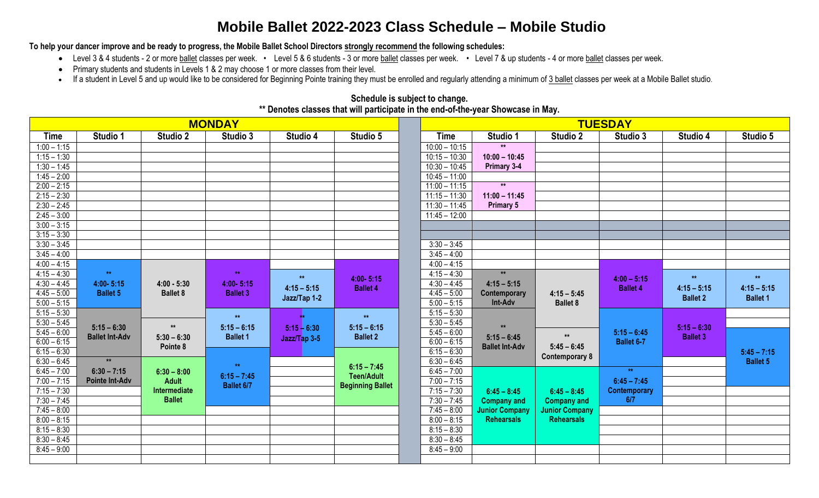## **Mobile Ballet 2022-2023 Class Schedule – Mobile Studio**

**To help your dancer improve and be ready to progress, the Mobile Ballet School Directors strongly recommend the following schedules:**

- Level 3 & 4 students 2 or more ballet classes per week. Level 5 & 6 students 3 or more ballet classes per week. Level 7 & up students 4 or more ballet classes per week.
- Primary students and students in Levels 1 & 2 may choose 1 or more classes from their level.
- If a student in Level 5 and up would like to be considered for Beginning Pointe training they must be enrolled and regularly attending a minimum of 3 ballet classes per week at a Mobile Ballet studio.

| <b>MONDAY</b> |                              |                                   |                                  |                               |                                  |               | <b>TUESDAY</b>  |                       |                                        |                                    |                                  |                                  |  |  |
|---------------|------------------------------|-----------------------------------|----------------------------------|-------------------------------|----------------------------------|---------------|-----------------|-----------------------|----------------------------------------|------------------------------------|----------------------------------|----------------------------------|--|--|
| <b>Time</b>   | Studio 1                     | Studio 2                          | Studio 3                         | Studio 4                      | Studio 5                         |               | <b>Time</b>     | Studio 1              | Studio 2                               | Studio 3                           | Studio 4                         | Studio 5                         |  |  |
| $1:00 - 1:15$ |                              |                                   |                                  |                               |                                  |               | $10:00 - 10:15$ | $**$                  |                                        |                                    |                                  |                                  |  |  |
| $1:15 - 1:30$ |                              |                                   |                                  |                               |                                  |               | $10:15 - 10:30$ | $10:00 - 10:45$       |                                        |                                    |                                  |                                  |  |  |
| $1:30 - 1:45$ |                              |                                   |                                  |                               |                                  |               | $10:30 - 10:45$ | Primary 3-4           |                                        |                                    |                                  |                                  |  |  |
| $1:45 - 2:00$ |                              |                                   |                                  |                               |                                  |               | $10:45 - 11:00$ |                       |                                        |                                    |                                  |                                  |  |  |
| $2:00 - 2:15$ |                              |                                   |                                  |                               |                                  |               | $11:00 - 11:15$ | $\ast$                |                                        |                                    |                                  |                                  |  |  |
| $2:15 - 2:30$ |                              |                                   |                                  |                               |                                  |               | $11:15 - 11:30$ | $11:00 - 11:45$       |                                        |                                    |                                  |                                  |  |  |
| $2:30 - 2:45$ |                              |                                   |                                  |                               |                                  |               | $11:30 - 11:45$ | <b>Primary 5</b>      |                                        |                                    |                                  |                                  |  |  |
| $2:45 - 3:00$ |                              |                                   |                                  |                               |                                  |               | $11:45 - 12:00$ |                       |                                        |                                    |                                  |                                  |  |  |
| $3:00 - 3:15$ |                              |                                   |                                  |                               |                                  |               |                 |                       |                                        |                                    |                                  |                                  |  |  |
| $3:15 - 3:30$ |                              |                                   |                                  |                               |                                  |               |                 |                       |                                        |                                    |                                  |                                  |  |  |
| $3:30 - 3:45$ |                              |                                   |                                  |                               |                                  |               | $3:30 - 3:45$   |                       |                                        |                                    |                                  |                                  |  |  |
| $3:45 - 4:00$ |                              |                                   |                                  |                               |                                  |               | $3:45 - 4:00$   |                       |                                        |                                    |                                  |                                  |  |  |
| $4:00 - 4:15$ |                              |                                   |                                  |                               |                                  |               | $4:00 - 4:15$   |                       |                                        |                                    |                                  |                                  |  |  |
| $4:15 - 4:30$ | $\star\star$                 |                                   | $\star\star$                     | $**$                          | $4:00 - 5:15$                    |               | $4:15 - 4:30$   | $**$                  |                                        | $4:00 - 5:15$                      | $**$                             | $\star\star$                     |  |  |
| $4:30 - 4:45$ | 4:00-5:15<br><b>Ballet 5</b> | $4:00 - 5:30$<br><b>Ballet 8</b>  | $4:00 - 5:15$<br><b>Ballet 3</b> | $4:15 - 5:15$<br>Jazz/Tap 1-2 | <b>Ballet 4</b>                  |               | $4:30 - 4:45$   | $4:15 - 5:15$         | $4:15 - 5:45$<br><b>Ballet 8</b>       | <b>Ballet 4</b>                    | $4:15 - 5:15$<br><b>Ballet 2</b> | $4:15 - 5:15$<br><b>Ballet 1</b> |  |  |
| $4:45 - 5:00$ |                              |                                   |                                  |                               |                                  |               | $4:45 - 5:00$   | Contemporary          |                                        |                                    |                                  |                                  |  |  |
| $5:00 - 5:15$ |                              |                                   |                                  |                               |                                  |               | $5:00 - 5:15$   | Int-Adv               |                                        |                                    |                                  |                                  |  |  |
| $5:15 - 5:30$ |                              |                                   | $\star\star$                     |                               | $**$                             |               | $5:15 - 5:30$   |                       |                                        |                                    |                                  |                                  |  |  |
| $5:30 - 5:45$ | $5:15 - 6:30$                | $**$<br>$5:30 - 6:30$<br>Pointe 8 | $5:15 - 6:15$<br><b>Ballet 1</b> | $5:15 - 6:30$<br>Jazz/Tap 3-5 | $5:15 - 6:15$<br><b>Ballet 2</b> |               | $5:30 - 5:45$   | $**$                  |                                        |                                    | $5:15 - 6:30$<br><b>Ballet 3</b> |                                  |  |  |
| $5:45 - 6:00$ | <b>Ballet Int-Adv</b>        |                                   |                                  |                               |                                  |               | $5:45 - 6:00$   | $5:15 - 6:45$         | $**$                                   | $5:15 - 6:45$<br><b>Ballet 6-7</b> |                                  | $5:45 - 7:15$                    |  |  |
| $6:00 - 6:15$ |                              |                                   |                                  |                               |                                  |               | $6:00 - 6:15$   | <b>Ballet Int-Adv</b> | $5:45 - 6:45$<br><b>Contemporary 8</b> |                                    |                                  |                                  |  |  |
| $6:15 - 6:30$ |                              |                                   |                                  |                               |                                  |               | $6:15 - 6:30$   |                       |                                        |                                    |                                  |                                  |  |  |
| $6:30 - 6:45$ | $**$                         |                                   | $\star\star$                     |                               | $6:15 - 7:45$                    |               | $6:30 - 6:45$   |                       |                                        |                                    |                                  | <b>Ballet 5</b>                  |  |  |
| $6:45 - 7:00$ | $6:30 - 7:15$                | $6:30 - 8:00$                     | $6:15 - 7:45$                    |                               | <b>Teen/Adult</b>                |               | $6:45 - 7:00$   |                       |                                        | $**$                               |                                  |                                  |  |  |
| $7:00 - 7:15$ | <b>Pointe Int-Adv</b>        | <b>Adult</b>                      | <b>Ballet 6/7</b>                |                               | <b>Beginning Ballet</b>          |               | $7:00 - 7:15$   |                       |                                        | $6:45 - 7:45$                      |                                  |                                  |  |  |
| $7:15 - 7:30$ | Intermediate                 |                                   |                                  |                               |                                  | $7:15 - 7:30$ | $6:45 - 8:45$   | $6:45 - 8:45$         | <b>Contemporary</b>                    |                                    |                                  |                                  |  |  |
| $7:30 - 7:45$ |                              | <b>Ballet</b>                     |                                  |                               |                                  |               | $7:30 - 7:45$   | <b>Company and</b>    | <b>Company and</b>                     | 6/7                                |                                  |                                  |  |  |
| $7:45 - 8:00$ |                              |                                   |                                  |                               |                                  |               | $7:45 - 8:00$   | <b>Junior Company</b> | <b>Junior Company</b>                  |                                    |                                  |                                  |  |  |
| $8:00 - 8:15$ |                              |                                   |                                  |                               |                                  |               | $8:00 - 8:15$   | <b>Rehearsals</b>     | <b>Rehearsals</b>                      |                                    |                                  |                                  |  |  |
| $8:15 - 8:30$ |                              |                                   |                                  |                               |                                  |               | $8:15 - 8:30$   |                       |                                        |                                    |                                  |                                  |  |  |
| $8:30 - 8:45$ |                              |                                   |                                  |                               |                                  |               | $8:30 - 8:45$   |                       |                                        |                                    |                                  |                                  |  |  |
| $8:45 - 9:00$ |                              |                                   |                                  |                               |                                  |               | $8:45 - 9:00$   |                       |                                        |                                    |                                  |                                  |  |  |

## **Schedule is subject to change. \*\* Denotes classes that will participate in the end-of-the-year Showcase in May.**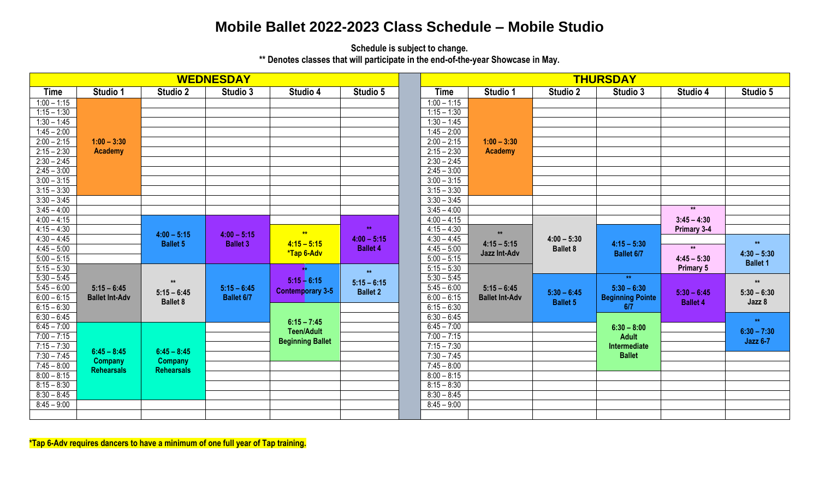## **Mobile Ballet 2022-2023 Class Schedule – Mobile Studio**

**Schedule is subject to change. \*\* Denotes classes that will participate in the end-of-the-year Showcase in May.**

| <b>WEDNESDAY</b> |                                                      |                                               |                                  |                                     |                                                  |               | <b>THURSDAY</b> |                               |                                  |                                               |                   |                 |  |
|------------------|------------------------------------------------------|-----------------------------------------------|----------------------------------|-------------------------------------|--------------------------------------------------|---------------|-----------------|-------------------------------|----------------------------------|-----------------------------------------------|-------------------|-----------------|--|
| <b>Time</b>      | Studio 1                                             | Studio 2                                      | Studio 3                         | Studio 4                            | Studio 5                                         |               | <b>Time</b>     | Studio 1                      | Studio 2                         | Studio 3                                      | Studio 4          | Studio 5        |  |
| $1:00 - 1:15$    |                                                      |                                               |                                  |                                     |                                                  |               | $1:00 - 1:15$   |                               |                                  |                                               |                   |                 |  |
| $1:15 - 1:30$    | $1:00 - 3:30$<br><b>Academy</b>                      |                                               |                                  |                                     |                                                  |               | $1:15 - 1:30$   |                               |                                  |                                               |                   |                 |  |
| $1:30 - 1:45$    |                                                      |                                               |                                  |                                     |                                                  |               | $1:30 - 1:45$   |                               |                                  |                                               |                   |                 |  |
| $1:45 - 2:00$    |                                                      |                                               |                                  |                                     |                                                  |               | $1:45 - 2:00$   |                               |                                  |                                               |                   |                 |  |
| $2:00 - 2:15$    |                                                      |                                               |                                  |                                     |                                                  |               | $2:00 - 2:15$   | $1:00 - 3:30$                 |                                  |                                               |                   |                 |  |
| $2:15 - 2:30$    |                                                      |                                               |                                  |                                     |                                                  |               | $2:15 - 2:30$   | <b>Academy</b>                |                                  |                                               |                   |                 |  |
| $2:30 - 2:45$    |                                                      |                                               |                                  |                                     |                                                  |               | $2:30 - 2:45$   |                               |                                  |                                               |                   |                 |  |
| $2:45 - 3:00$    |                                                      |                                               |                                  |                                     |                                                  |               | $2:45 - 3:00$   |                               |                                  |                                               |                   |                 |  |
| $3:00 - 3:15$    |                                                      |                                               |                                  |                                     |                                                  |               | $3:00 - 3:15$   |                               |                                  |                                               |                   |                 |  |
| $3:15 - 3:30$    |                                                      |                                               |                                  |                                     |                                                  |               | $3:15 - 3:30$   |                               |                                  |                                               |                   |                 |  |
| $3:30 - 3:45$    |                                                      |                                               |                                  |                                     |                                                  |               | $3:30 - 3:45$   |                               |                                  |                                               |                   |                 |  |
| $3:45 - 4:00$    |                                                      |                                               |                                  |                                     |                                                  |               | $3:45 - 4:00$   |                               |                                  |                                               | $\overline{\ast}$ |                 |  |
| $4:00 - 4:15$    |                                                      |                                               | $4:00 - 5:15$<br><b>Ballet 3</b> | $**$<br>$4:15 - 5:15$<br>*Tap 6-Adv | $\star\star$<br>$4:00 - 5:15$<br><b>Ballet 4</b> | $4:15 - 4:30$ | $4:00 - 4:15$   |                               |                                  |                                               | $3:45 - 4:30$     |                 |  |
| $4:15 - 4:30$    |                                                      | $4:00 - 5:15$                                 |                                  |                                     |                                                  |               | $**$            |                               |                                  | Primary 3-4                                   |                   |                 |  |
| $4:30 - 4:45$    |                                                      | <b>Ballet 5</b>                               |                                  |                                     |                                                  |               | $4:30 - 4:45$   | $4:15 - 5:15$<br>Jazz Int-Adv | $4:00 - 5:30$<br><b>Ballet 8</b> | $4:15 - 5:30$<br><b>Ballet 6/7</b>            |                   | $**$            |  |
| $4:45 - 5:00$    |                                                      |                                               |                                  |                                     |                                                  |               | $4:45 - 5:00$   |                               |                                  |                                               | $\star\star$      | $4:30 - 5:30$   |  |
| $5:00 - 5:15$    |                                                      |                                               |                                  |                                     |                                                  |               | $5:00 - 5:15$   |                               |                                  |                                               | $4:45 - 5:30$     | <b>Ballet 1</b> |  |
| $5:15 - 5:30$    |                                                      |                                               |                                  | $\star\star$                        | $\star\star$                                     |               | $5:15 - 5:30$   |                               |                                  |                                               | <b>Primary 5</b>  |                 |  |
| $5:30 - 5:45$    |                                                      | $**$                                          |                                  | $5:15 - 6:15$                       | $5:15 - 6:15$                                    |               | $5:30 - 5:45$   |                               |                                  | $**$                                          |                   | $**$            |  |
| $5:45 - 6:00$    | $5:15 - 6:45$                                        | $5:15 - 6:45$                                 | $5:15 - 6:45$                    | <b>Contemporary 3-5</b>             | <b>Ballet 2</b>                                  |               | $5:45 - 6:00$   | $5:15 - 6:45$                 | $5:30 - 6:45$                    | $5:30 - 6:30$                                 | $5:30 - 6:45$     | $5:30 - 6:30$   |  |
| $6:00 - 6:15$    | <b>Ballet Int-Adv</b>                                | <b>Ballet 8</b>                               | <b>Ballet 6/7</b>                | $6:15 - 7:45$<br><b>Teen/Adult</b>  |                                                  |               | $6:00 - 6:15$   | <b>Ballet Int-Adv</b>         | <b>Ballet 5</b>                  | <b>Beginning Pointe</b><br>6/7                | <b>Ballet 4</b>   | Jazz 8          |  |
| $6:15 - 6:30$    |                                                      |                                               |                                  |                                     |                                                  |               | $6:15 - 6:30$   |                               |                                  |                                               |                   |                 |  |
| $6:30 - 6:45$    |                                                      |                                               |                                  |                                     |                                                  |               | $6:30 - 6:45$   |                               |                                  |                                               |                   | $**$            |  |
| $6:45 - 7:00$    |                                                      |                                               |                                  |                                     |                                                  |               | $6:45 - 7:00$   |                               |                                  | $6:30 - 8:00$                                 |                   | $6:30 - 7:30$   |  |
| $7:00 - 7:15$    |                                                      |                                               |                                  | <b>Beginning Ballet</b>             |                                                  |               | $7:00 - 7:15$   |                               |                                  | <b>Adult</b><br>Intermediate<br><b>Ballet</b> |                   | <b>Jazz 6-7</b> |  |
| $7:15 - 7:30$    | $6:45 - 8:45$<br><b>Company</b><br><b>Rehearsals</b> | $6:45 - 8:45$<br>Company<br><b>Rehearsals</b> |                                  |                                     |                                                  |               | $7:15 - 7:30$   |                               |                                  |                                               |                   |                 |  |
| $7:30 - 7:45$    |                                                      |                                               |                                  |                                     |                                                  |               | $7:30 - 7:45$   |                               |                                  |                                               |                   |                 |  |
| $7:45 - 8:00$    |                                                      |                                               |                                  |                                     |                                                  |               | $7:45 - 8:00$   |                               |                                  |                                               |                   |                 |  |
| $8:00 - 8:15$    |                                                      |                                               |                                  |                                     |                                                  |               | $8:00 - 8:15$   |                               |                                  |                                               |                   |                 |  |
| $8:15 - 8:30$    |                                                      |                                               |                                  |                                     |                                                  |               | $8:15 - 8:30$   |                               |                                  |                                               |                   |                 |  |
| $8:30 - 8:45$    |                                                      |                                               |                                  |                                     |                                                  |               | $8:30 - 8:45$   |                               |                                  |                                               |                   |                 |  |
| $8:45 - 9:00$    |                                                      |                                               |                                  |                                     |                                                  |               | $8:45 - 9:00$   |                               |                                  |                                               |                   |                 |  |
|                  |                                                      |                                               |                                  |                                     |                                                  |               |                 |                               |                                  |                                               |                   |                 |  |